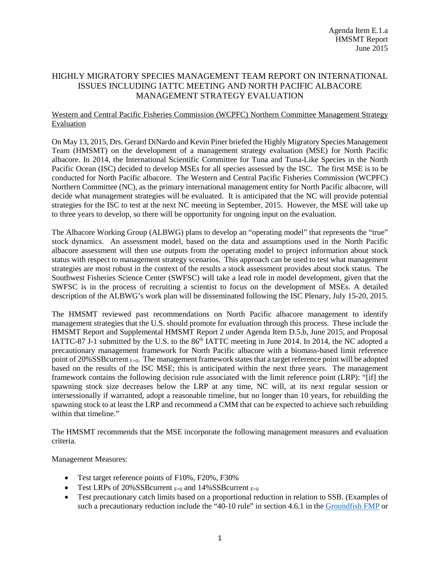## HIGHLY MIGRATORY SPECIES MANAGEMENT TEAM REPORT ON INTERNATIONAL ISSUES INCLUDING IATTC MEETING AND NORTH PACIFIC ALBACORE MANAGEMENT STRATEGY EVALUATION

## Western and Central Pacific Fisheries Commission (WCPFC) Northern Committee Management Strategy Evaluation

On May 13, 2015, Drs. Gerard DiNardo and Kevin Piner briefed the Highly Migratory Species Management Team (HMSMT) on the development of a management strategy evaluation (MSE) for North Pacific albacore. In 2014, the International Scientific Committee for Tuna and Tuna-Like Species in the North Pacific Ocean (ISC) decided to develop MSEs for all species assessed by the ISC. The first MSE is to be conducted for North Pacific albacore. The Western and Central Pacific Fisheries Commission (WCPFC) Northern Committee (NC), as the primary international management entity for North Pacific albacore, will decide what management strategies will be evaluated. It is anticipated that the NC will provide potential strategies for the ISC to test at the next NC meeting in September, 2015. However, the MSE will take up to three years to develop, so there will be opportunity for ongoing input on the evaluation.

The Albacore Working Group (ALBWG) plans to develop an "operating model" that represents the "true" stock dynamics. An assessment model, based on the data and assumptions used in the North Pacific albacore assessment will then use outputs from the operating model to project information about stock status with respect to management strategy scenarios. This approach can be used to test what management strategies are most robust in the context of the results a stock assessment provides about stock status. The Southwest Fisheries Science Center (SWFSC) will take a lead role in model development, given that the SWFSC is in the process of recruiting a scientist to focus on the development of MSEs. A detailed description of the ALBWG's work plan will be disseminated following the ISC Plenary, July 15-20, 2015.

The HMSMT reviewed past recommendations on North Pacific albacore management to identify management strategies that the U.S. should promote for evaluation through this process. These include the HMSMT Report and Supplemental HMSMT Report 2 under Agenda Item D.5.b, June 2015, and Proposal IATTC-87 J-1 submitted by the U.S. to the 86<sup>th</sup> IATTC meeting in June 2014. In 2014, the NC adopted a precautionary management framework for North Pacific albacore with a biomass-based limit reference point of 20% SSB current  $_{F=0}$ . The management framework states that a target reference point will be adopted based on the results of the ISC MSE; this is anticipated within the next three years. The management framework contains the following decision rule associated with the limit reference point (LRP): "[if] the spawning stock size decreases below the LRP at any time, NC will, at its next regular session or intersessionally if warranted, adopt a reasonable timeline, but no longer than 10 years, for rebuilding the spawning stock to at least the LRP and recommend a CMM that can be expected to achieve such rebuilding within that timeline."

The HMSMT recommends that the MSE incorporate the following management measures and evaluation criteria.

Management Measures:

- Test target reference points of F10%, F20%, F30%
- Test LRPs of 20%SSB current  $F=0$  and 14%SSB current  $F=0$
- Test precautionary catch limits based on a proportional reduction in relation to SSB. (Examples of such a precautionary reduction include the "40-10 rule" in section 4.6.1 in the [Groundfish FMP](http://www.pcouncil.org/wp-content/uploads/GF_FMP_FINAL_May2014.pdf) or